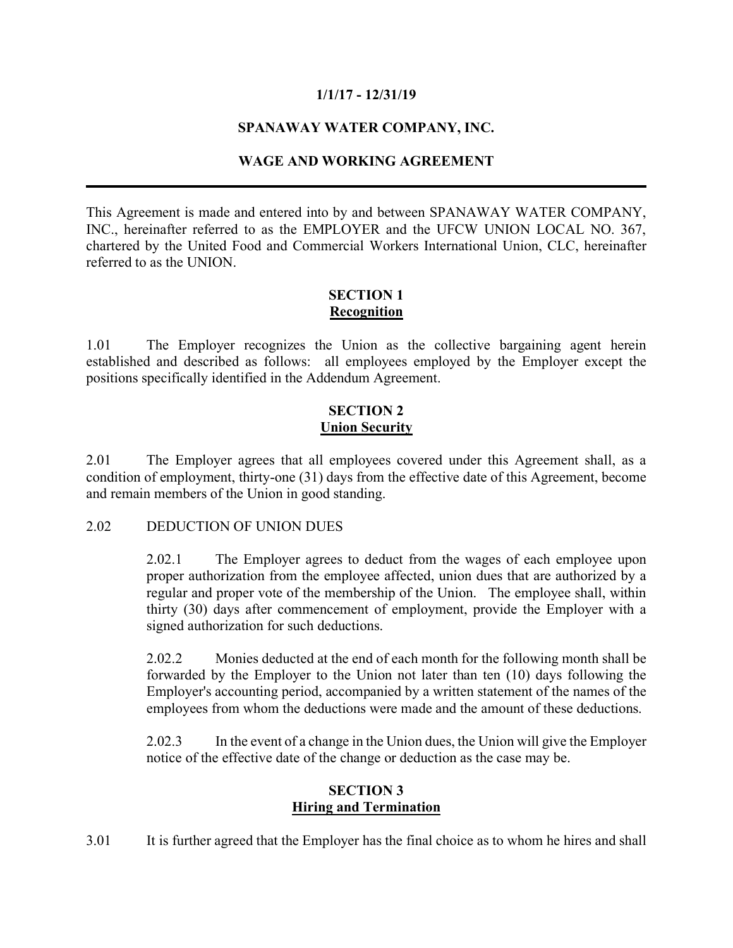## **1/1/17 - 12/31/19**

# **SPANAWAY WATER COMPANY, INC.**

# **WAGE AND WORKING AGREEMENT**

This Agreement is made and entered into by and between SPANAWAY WATER COMPANY, INC., hereinafter referred to as the EMPLOYER and the UFCW UNION LOCAL NO. 367, chartered by the United Food and Commercial Workers International Union, CLC, hereinafter referred to as the UNION.

## **SECTION 1 Recognition**

1.01 The Employer recognizes the Union as the collective bargaining agent herein established and described as follows: all employees employed by the Employer except the positions specifically identified in the Addendum Agreement.

### **SECTION 2 Union Security**

2.01 The Employer agrees that all employees covered under this Agreement shall, as a condition of employment, thirty-one (31) days from the effective date of this Agreement, become and remain members of the Union in good standing.

#### 2.02 DEDUCTION OF UNION DUES

2.02.1 The Employer agrees to deduct from the wages of each employee upon proper authorization from the employee affected, union dues that are authorized by a regular and proper vote of the membership of the Union. The employee shall, within thirty (30) days after commencement of employment, provide the Employer with a signed authorization for such deductions.

2.02.2 Monies deducted at the end of each month for the following month shall be forwarded by the Employer to the Union not later than ten (10) days following the Employer's accounting period, accompanied by a written statement of the names of the employees from whom the deductions were made and the amount of these deductions.

2.02.3 In the event of a change in the Union dues, the Union will give the Employer notice of the effective date of the change or deduction as the case may be.

### **SECTION 3 Hiring and Termination**

3.01 It is further agreed that the Employer has the final choice as to whom he hires and shall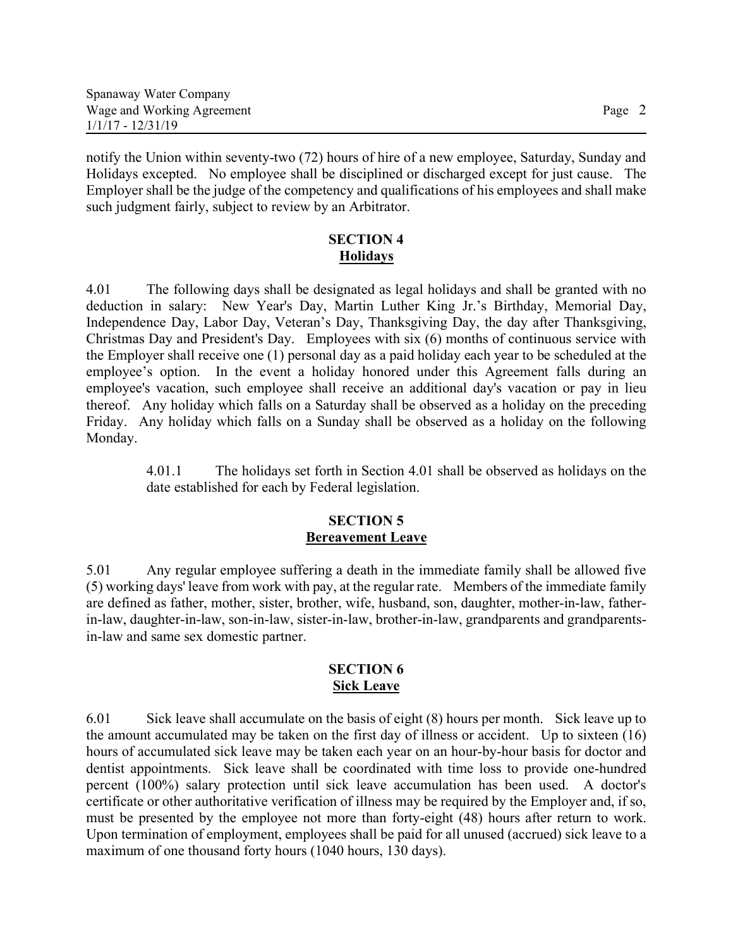notify the Union within seventy-two (72) hours of hire of a new employee, Saturday, Sunday and Holidays excepted. No employee shall be disciplined or discharged except for just cause. The Employer shall be the judge of the competency and qualifications of his employees and shall make such judgment fairly, subject to review by an Arbitrator.

# **SECTION 4 Holidays**

4.01 The following days shall be designated as legal holidays and shall be granted with no deduction in salary: New Year's Day, Martin Luther King Jr.'s Birthday, Memorial Day, Independence Day, Labor Day, Veteran's Day, Thanksgiving Day, the day after Thanksgiving, Christmas Day and President's Day. Employees with six (6) months of continuous service with the Employer shall receive one (1) personal day as a paid holiday each year to be scheduled at the employee's option. In the event a holiday honored under this Agreement falls during an employee's vacation, such employee shall receive an additional day's vacation or pay in lieu thereof. Any holiday which falls on a Saturday shall be observed as a holiday on the preceding Friday. Any holiday which falls on a Sunday shall be observed as a holiday on the following Monday.

> 4.01.1 The holidays set forth in Section 4.01 shall be observed as holidays on the date established for each by Federal legislation.

### **SECTION 5 Bereavement Leave**

5.01 Any regular employee suffering a death in the immediate family shall be allowed five (5) working days' leave from work with pay, at the regular rate. Members of the immediate family are defined as father, mother, sister, brother, wife, husband, son, daughter, mother-in-law, fatherin-law, daughter-in-law, son-in-law, sister-in-law, brother-in-law, grandparents and grandparentsin-law and same sex domestic partner.

### **SECTION 6 Sick Leave**

6.01 Sick leave shall accumulate on the basis of eight (8) hours per month. Sick leave up to the amount accumulated may be taken on the first day of illness or accident. Up to sixteen (16) hours of accumulated sick leave may be taken each year on an hour-by-hour basis for doctor and dentist appointments. Sick leave shall be coordinated with time loss to provide one-hundred percent (100%) salary protection until sick leave accumulation has been used. A doctor's certificate or other authoritative verification of illness may be required by the Employer and, if so, must be presented by the employee not more than forty-eight (48) hours after return to work. Upon termination of employment, employees shall be paid for all unused (accrued) sick leave to a maximum of one thousand forty hours (1040 hours, 130 days).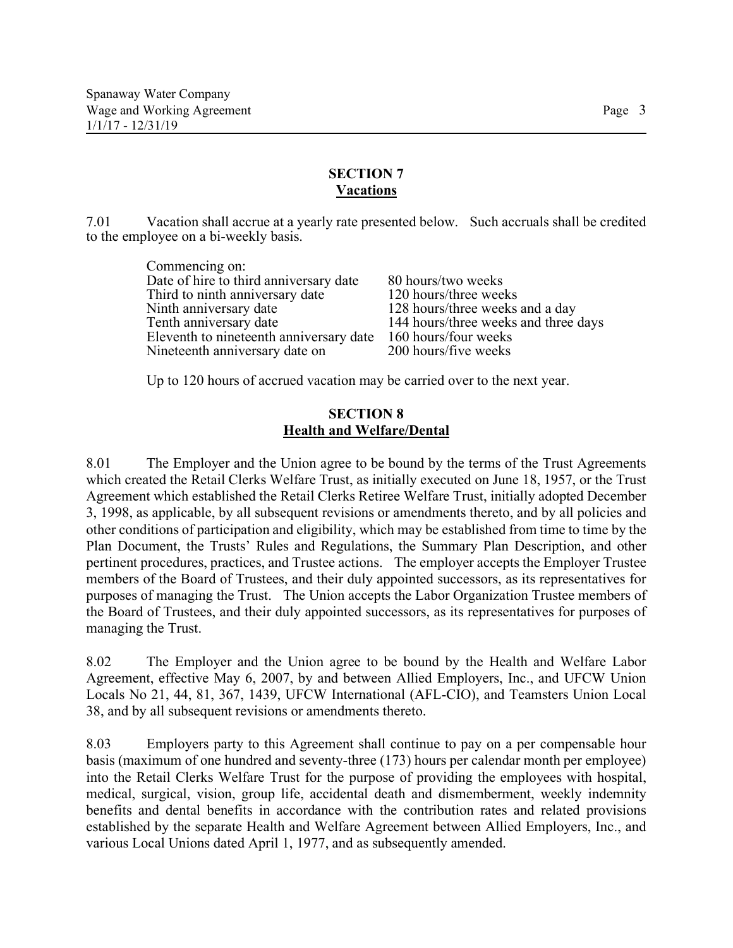#### **SECTION 7 Vacations**

7.01 Vacation shall accrue at a yearly rate presented below. Such accruals shall be credited to the employee on a bi-weekly basis.

| Commencing on:                          |                                      |
|-----------------------------------------|--------------------------------------|
| Date of hire to third anniversary date  | 80 hours/two weeks                   |
| Third to ninth anniversary date         | 120 hours/three weeks                |
| Ninth anniversary date                  | 128 hours/three weeks and a day      |
| Tenth anniversary date                  | 144 hours/three weeks and three days |
| Eleventh to nineteenth anniversary date | 160 hours/four weeks                 |
| Nineteenth anniversary date on          | 200 hours/five weeks                 |
|                                         |                                      |

Up to 120 hours of accrued vacation may be carried over to the next year.

### **SECTION 8 Health and Welfare/Dental**

8.01 The Employer and the Union agree to be bound by the terms of the Trust Agreements which created the Retail Clerks Welfare Trust, as initially executed on June 18, 1957, or the Trust Agreement which established the Retail Clerks Retiree Welfare Trust, initially adopted December 3, 1998, as applicable, by all subsequent revisions or amendments thereto, and by all policies and other conditions of participation and eligibility, which may be established from time to time by the Plan Document, the Trusts' Rules and Regulations, the Summary Plan Description, and other pertinent procedures, practices, and Trustee actions. The employer accepts the Employer Trustee members of the Board of Trustees, and their duly appointed successors, as its representatives for purposes of managing the Trust. The Union accepts the Labor Organization Trustee members of the Board of Trustees, and their duly appointed successors, as its representatives for purposes of managing the Trust.

8.02 The Employer and the Union agree to be bound by the Health and Welfare Labor Agreement, effective May 6, 2007, by and between Allied Employers, Inc., and UFCW Union Locals No 21, 44, 81, 367, 1439, UFCW International (AFL-CIO), and Teamsters Union Local 38, and by all subsequent revisions or amendments thereto.

8.03 Employers party to this Agreement shall continue to pay on a per compensable hour basis (maximum of one hundred and seventy-three (173) hours per calendar month per employee) into the Retail Clerks Welfare Trust for the purpose of providing the employees with hospital, medical, surgical, vision, group life, accidental death and dismemberment, weekly indemnity benefits and dental benefits in accordance with the contribution rates and related provisions established by the separate Health and Welfare Agreement between Allied Employers, Inc., and various Local Unions dated April 1, 1977, and as subsequently amended.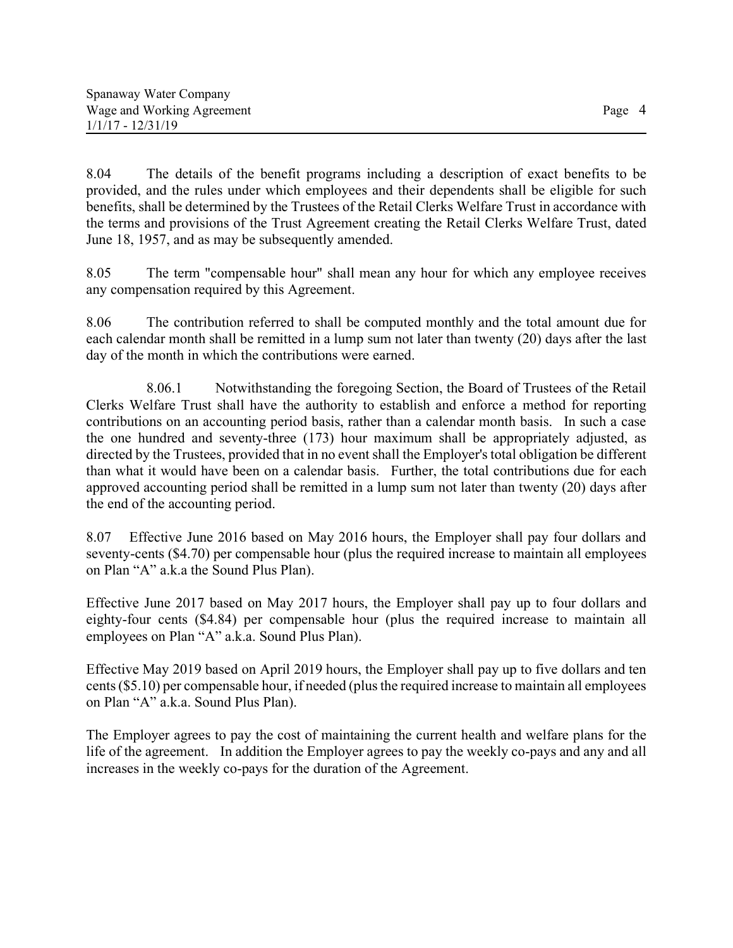8.04 The details of the benefit programs including a description of exact benefits to be provided, and the rules under which employees and their dependents shall be eligible for such benefits, shall be determined by the Trustees of the Retail Clerks Welfare Trust in accordance with the terms and provisions of the Trust Agreement creating the Retail Clerks Welfare Trust, dated June 18, 1957, and as may be subsequently amended.

8.05 The term "compensable hour" shall mean any hour for which any employee receives any compensation required by this Agreement.

8.06 The contribution referred to shall be computed monthly and the total amount due for each calendar month shall be remitted in a lump sum not later than twenty (20) days after the last day of the month in which the contributions were earned.

8.06.1 Notwithstanding the foregoing Section, the Board of Trustees of the Retail Clerks Welfare Trust shall have the authority to establish and enforce a method for reporting contributions on an accounting period basis, rather than a calendar month basis. In such a case the one hundred and seventy-three (173) hour maximum shall be appropriately adjusted, as directed by the Trustees, provided that in no event shall the Employer's total obligation be different than what it would have been on a calendar basis. Further, the total contributions due for each approved accounting period shall be remitted in a lump sum not later than twenty (20) days after the end of the accounting period.

8.07 Effective June 2016 based on May 2016 hours, the Employer shall pay four dollars and seventy-cents (\$4.70) per compensable hour (plus the required increase to maintain all employees on Plan "A" a.k.a the Sound Plus Plan).

Effective June 2017 based on May 2017 hours, the Employer shall pay up to four dollars and eighty-four cents (\$4.84) per compensable hour (plus the required increase to maintain all employees on Plan "A" a.k.a. Sound Plus Plan).

Effective May 2019 based on April 2019 hours, the Employer shall pay up to five dollars and ten cents (\$5.10) per compensable hour, if needed (plus the required increase to maintain all employees on Plan "A" a.k.a. Sound Plus Plan).

The Employer agrees to pay the cost of maintaining the current health and welfare plans for the life of the agreement. In addition the Employer agrees to pay the weekly co-pays and any and all increases in the weekly co-pays for the duration of the Agreement.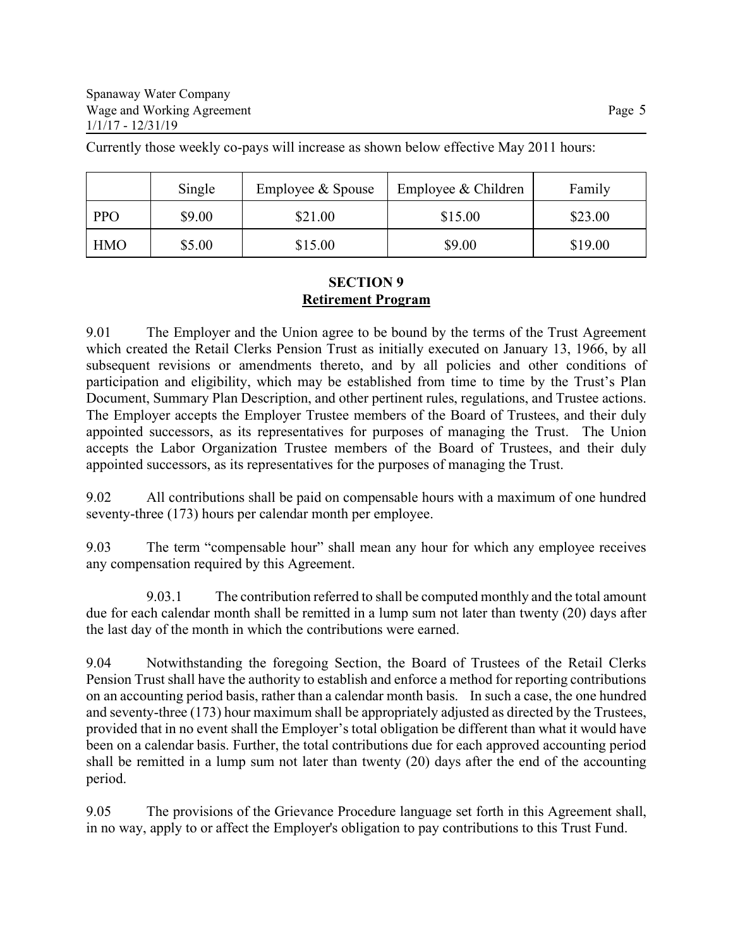Currently those weekly co-pays will increase as shown below effective May 2011 hours:

|            | Single | Employee & Spouse | Employee & Children | Family  |
|------------|--------|-------------------|---------------------|---------|
| <b>PPO</b> | \$9.00 | \$21.00           | \$15.00             | \$23.00 |
| <b>HMO</b> | \$5.00 | \$15.00           | \$9.00              | \$19.00 |

### **SECTION 9 Retirement Program**

9.01 The Employer and the Union agree to be bound by the terms of the Trust Agreement which created the Retail Clerks Pension Trust as initially executed on January 13, 1966, by all subsequent revisions or amendments thereto, and by all policies and other conditions of participation and eligibility, which may be established from time to time by the Trust's Plan Document, Summary Plan Description, and other pertinent rules, regulations, and Trustee actions. The Employer accepts the Employer Trustee members of the Board of Trustees, and their duly appointed successors, as its representatives for purposes of managing the Trust. The Union accepts the Labor Organization Trustee members of the Board of Trustees, and their duly appointed successors, as its representatives for the purposes of managing the Trust.

9.02 All contributions shall be paid on compensable hours with a maximum of one hundred seventy-three (173) hours per calendar month per employee.

9.03 The term "compensable hour" shall mean any hour for which any employee receives any compensation required by this Agreement.

9.03.1 The contribution referred to shall be computed monthly and the total amount due for each calendar month shall be remitted in a lump sum not later than twenty (20) days after the last day of the month in which the contributions were earned.

9.04 Notwithstanding the foregoing Section, the Board of Trustees of the Retail Clerks Pension Trust shall have the authority to establish and enforce a method for reporting contributions on an accounting period basis, rather than a calendar month basis. In such a case, the one hundred and seventy-three (173) hour maximum shall be appropriately adjusted as directed by the Trustees, provided that in no event shall the Employer's total obligation be different than what it would have been on a calendar basis. Further, the total contributions due for each approved accounting period shall be remitted in a lump sum not later than twenty (20) days after the end of the accounting period.

9.05 The provisions of the Grievance Procedure language set forth in this Agreement shall, in no way, apply to or affect the Employer's obligation to pay contributions to this Trust Fund.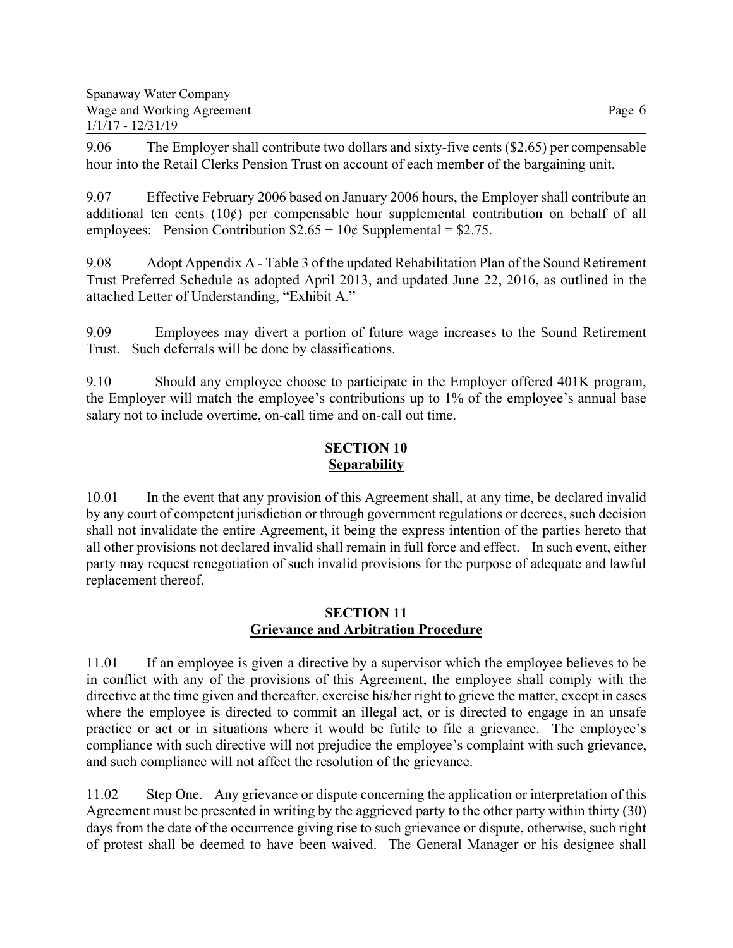9.06 The Employer shall contribute two dollars and sixty-five cents (\$2.65) per compensable hour into the Retail Clerks Pension Trust on account of each member of the bargaining unit.

9.07 Effective February 2006 based on January 2006 hours, the Employer shall contribute an additional ten cents  $(10¢)$  per compensable hour supplemental contribution on behalf of all employees: Pension Contribution  $$2.65 + 10¢$  Supplemental = \$2.75.

9.08 Adopt Appendix A - Table 3 of the updated Rehabilitation Plan of the Sound Retirement Trust Preferred Schedule as adopted April 2013, and updated June 22, 2016, as outlined in the attached Letter of Understanding, "Exhibit A."

9.09 Employees may divert a portion of future wage increases to the Sound Retirement Trust. Such deferrals will be done by classifications.

9.10 Should any employee choose to participate in the Employer offered 401K program, the Employer will match the employee's contributions up to 1% of the employee's annual base salary not to include overtime, on-call time and on-call out time.

# **SECTION 10 Separability**

10.01 In the event that any provision of this Agreement shall, at any time, be declared invalid by any court of competent jurisdiction or through government regulations or decrees, such decision shall not invalidate the entire Agreement, it being the express intention of the parties hereto that all other provisions not declared invalid shall remain in full force and effect. In such event, either party may request renegotiation of such invalid provisions for the purpose of adequate and lawful replacement thereof.

## **SECTION 11 Grievance and Arbitration Procedure**

11.01 If an employee is given a directive by a supervisor which the employee believes to be in conflict with any of the provisions of this Agreement, the employee shall comply with the directive at the time given and thereafter, exercise his/her right to grieve the matter, except in cases where the employee is directed to commit an illegal act, or is directed to engage in an unsafe practice or act or in situations where it would be futile to file a grievance. The employee's compliance with such directive will not prejudice the employee's complaint with such grievance, and such compliance will not affect the resolution of the grievance.

11.02 Step One. Any grievance or dispute concerning the application or interpretation of this Agreement must be presented in writing by the aggrieved party to the other party within thirty (30) days from the date of the occurrence giving rise to such grievance or dispute, otherwise, such right of protest shall be deemed to have been waived. The General Manager or his designee shall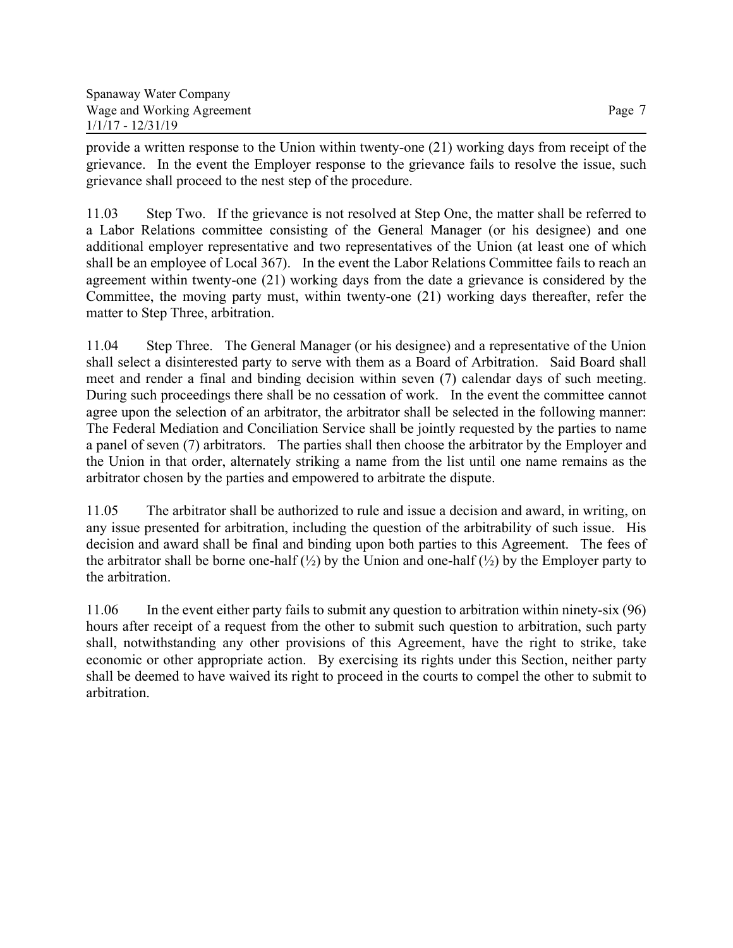provide a written response to the Union within twenty-one (21) working days from receipt of the grievance. In the event the Employer response to the grievance fails to resolve the issue, such grievance shall proceed to the nest step of the procedure.

11.03 Step Two. If the grievance is not resolved at Step One, the matter shall be referred to a Labor Relations committee consisting of the General Manager (or his designee) and one additional employer representative and two representatives of the Union (at least one of which shall be an employee of Local 367). In the event the Labor Relations Committee fails to reach an agreement within twenty-one (21) working days from the date a grievance is considered by the Committee, the moving party must, within twenty-one (21) working days thereafter, refer the matter to Step Three, arbitration.

11.04 Step Three. The General Manager (or his designee) and a representative of the Union shall select a disinterested party to serve with them as a Board of Arbitration. Said Board shall meet and render a final and binding decision within seven (7) calendar days of such meeting. During such proceedings there shall be no cessation of work. In the event the committee cannot agree upon the selection of an arbitrator, the arbitrator shall be selected in the following manner: The Federal Mediation and Conciliation Service shall be jointly requested by the parties to name a panel of seven (7) arbitrators. The parties shall then choose the arbitrator by the Employer and the Union in that order, alternately striking a name from the list until one name remains as the arbitrator chosen by the parties and empowered to arbitrate the dispute.

11.05 The arbitrator shall be authorized to rule and issue a decision and award, in writing, on any issue presented for arbitration, including the question of the arbitrability of such issue. His decision and award shall be final and binding upon both parties to this Agreement. The fees of the arbitrator shall be borne one-half  $(\frac{1}{2})$  by the Union and one-half  $(\frac{1}{2})$  by the Employer party to the arbitration.

11.06 In the event either party fails to submit any question to arbitration within ninety-six (96) hours after receipt of a request from the other to submit such question to arbitration, such party shall, notwithstanding any other provisions of this Agreement, have the right to strike, take economic or other appropriate action. By exercising its rights under this Section, neither party shall be deemed to have waived its right to proceed in the courts to compel the other to submit to arbitration.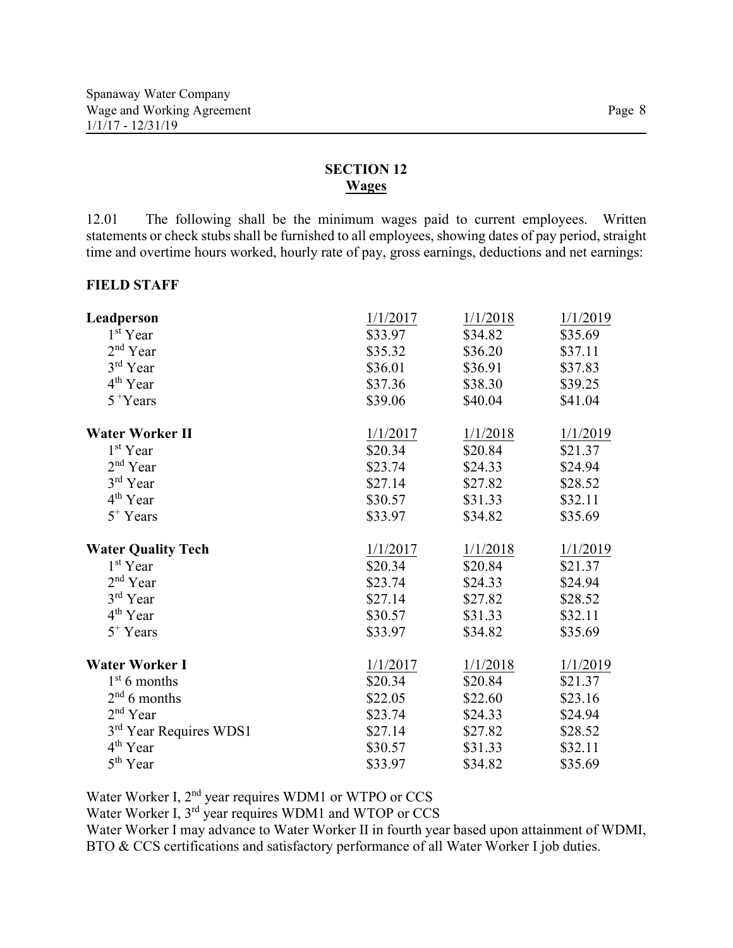# **SECTION 12 Wages**

12.01 The following shall be the minimum wages paid to current employees. Written statements or check stubs shall be furnished to all employees, showing dates of pay period, straight time and overtime hours worked, hourly rate of pay, gross earnings, deductions and net earnings:

#### **FIELD STAFF**

| Leadperson                | 1/1/2017 | 1/1/2018 | 1/1/2019 |
|---------------------------|----------|----------|----------|
| 1 <sup>st</sup> Year      | \$33.97  | \$34.82  | \$35.69  |
| 2 <sup>nd</sup> Year      | \$35.32  | \$36.20  | \$37.11  |
| 3rd Year                  | \$36.01  | \$36.91  | \$37.83  |
| 4 <sup>th</sup> Year      | \$37.36  | \$38.30  | \$39.25  |
| $5 + Years$               | \$39.06  | \$40.04  | \$41.04  |
| <b>Water Worker II</b>    | 1/1/2017 | 1/1/2018 | 1/1/2019 |
| 1 <sup>st</sup> Year      | \$20.34  | \$20.84  | \$21.37  |
| $2nd$ Year                | \$23.74  | \$24.33  | \$24.94  |
| 3rd Year                  | \$27.14  | \$27.82  | \$28.52  |
| 4 <sup>th</sup> Year      | \$30.57  | \$31.33  | \$32.11  |
| $5^+$ Years               | \$33.97  | \$34.82  | \$35.69  |
| <b>Water Quality Tech</b> | 1/1/2017 | 1/1/2018 | 1/1/2019 |
| 1 <sup>st</sup> Year      | \$20.34  | \$20.84  | \$21.37  |
| $2^{\rm nd}$ Year         | \$23.74  | \$24.33  | \$24.94  |
| 3rd Year                  | \$27.14  | \$27.82  | \$28.52  |
| 4 <sup>th</sup> Year      | \$30.57  | \$31.33  | \$32.11  |
| $5^+$ Years               | \$33.97  | \$34.82  | \$35.69  |
| <b>Water Worker I</b>     | 1/1/2017 | 1/1/2018 | 1/1/2019 |
| $1st 6$ months            | \$20.34  | \$20.84  | \$21.37  |
| $2nd 6$ months            | \$22.05  | \$22.60  | \$23.16  |
| $2nd$ Year                | \$23.74  | \$24.33  | \$24.94  |
| 3rd Year Requires WDS1    | \$27.14  | \$27.82  | \$28.52  |
| 4 <sup>th</sup> Year      | \$30.57  | \$31.33  | \$32.11  |
| 5 <sup>th</sup> Year      | \$33.97  | \$34.82  | \$35.69  |

Water Worker I, 2<sup>nd</sup> year requires WDM1 or WTPO or CCS

Water Worker I, 3rd year requires WDM1 and WTOP or CCS

Water Worker I may advance to Water Worker II in fourth year based upon attainment of WDMI, BTO & CCS certifications and satisfactory performance of all Water Worker I job duties.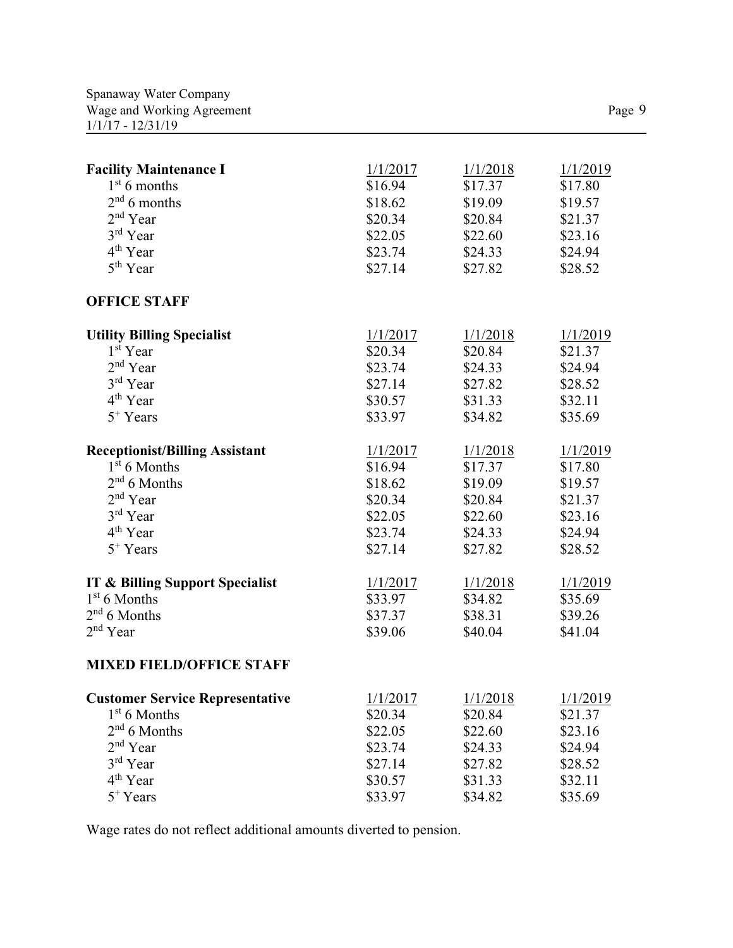| <b>Facility Maintenance I</b>              | 1/1/2017 | 1/1/2018 | 1/1/2019 |
|--------------------------------------------|----------|----------|----------|
| $1st 6$ months                             | \$16.94  | \$17.37  | \$17.80  |
| $2nd 6$ months                             | \$18.62  | \$19.09  | \$19.57  |
| 2 <sup>nd</sup> Year                       | \$20.34  | \$20.84  | \$21.37  |
| 3rd Year                                   | \$22.05  | \$22.60  | \$23.16  |
| 4 <sup>th</sup> Year                       | \$23.74  | \$24.33  | \$24.94  |
| 5 <sup>th</sup> Year                       | \$27.14  | \$27.82  | \$28.52  |
| <b>OFFICE STAFF</b>                        |          |          |          |
| <b>Utility Billing Specialist</b>          | 1/1/2017 | 1/1/2018 | 1/1/2019 |
| 1 <sup>st</sup> Year                       | \$20.34  | \$20.84  | \$21.37  |
| 2 <sup>nd</sup> Year                       | \$23.74  | \$24.33  | \$24.94  |
| 3rd Year                                   | \$27.14  | \$27.82  | \$28.52  |
| $4th$ Year                                 | \$30.57  | \$31.33  | \$32.11  |
| $5^+$ Years                                | \$33.97  | \$34.82  | \$35.69  |
| <b>Receptionist/Billing Assistant</b>      | 1/1/2017 | 1/1/2018 | 1/1/2019 |
| $1st$ 6 Months                             | \$16.94  | \$17.37  | \$17.80  |
| $2nd 6$ Months                             | \$18.62  | \$19.09  | \$19.57  |
| 2 <sup>nd</sup> Year                       | \$20.34  | \$20.84  | \$21.37  |
| 3rd Year                                   | \$22.05  | \$22.60  | \$23.16  |
| $4th$ Year                                 | \$23.74  | \$24.33  | \$24.94  |
| $5^+$ Years                                | \$27.14  | \$27.82  | \$28.52  |
| <b>IT &amp; Billing Support Specialist</b> | 1/1/2017 | 1/1/2018 | 1/1/2019 |
| $1st 6$ Months                             | \$33.97  | \$34.82  | \$35.69  |
| $2nd 6$ Months                             | \$37.37  | \$38.31  | \$39.26  |
| $2nd$ Year                                 | \$39.06  | \$40.04  | \$41.04  |
| <b>MIXED FIELD/OFFICE STAFF</b>            |          |          |          |
| <b>Customer Service Representative</b>     | 1/1/2017 | 1/1/2018 | 1/1/2019 |
| $1st 6$ Months                             | \$20.34  | \$20.84  | \$21.37  |
| $2nd 6$ Months                             | \$22.05  | \$22.60  | \$23.16  |
| 2 <sup>nd</sup> Year                       | \$23.74  | \$24.33  | \$24.94  |
| 3rd Year                                   | \$27.14  | \$27.82  | \$28.52  |
| 4 <sup>th</sup> Year                       | \$30.57  | \$31.33  | \$32.11  |

 $5^+$ Years  $\$33.97$   $\$34.82$   $\$35.69$ 

Wage rates do not reflect additional amounts diverted to pension.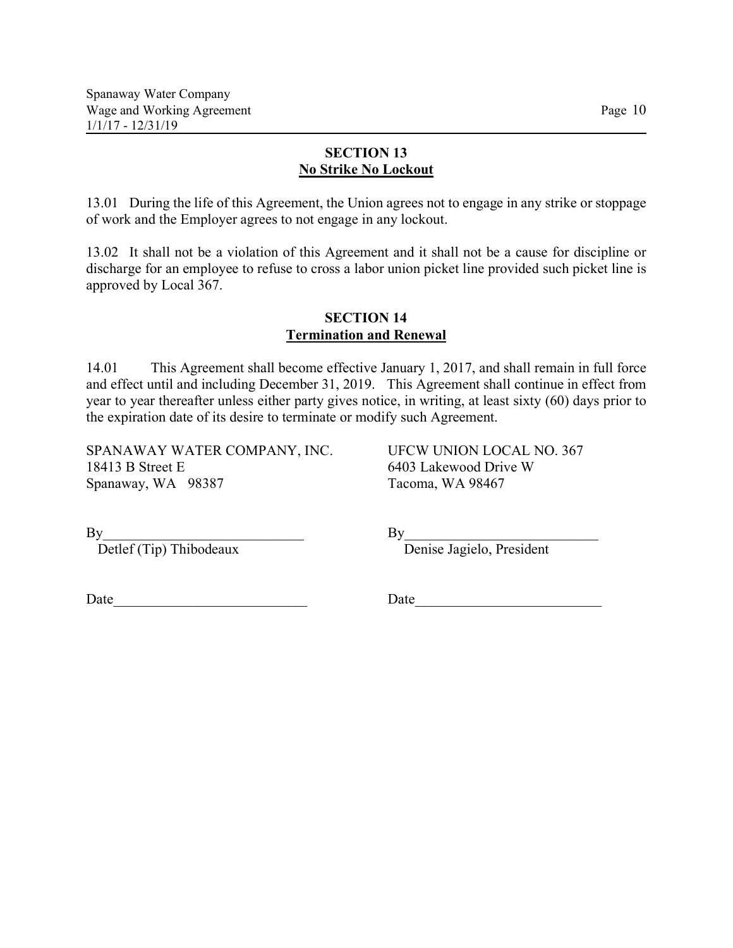## **SECTION 13 No Strike No Lockout**

13.01 During the life of this Agreement, the Union agrees not to engage in any strike or stoppage of work and the Employer agrees to not engage in any lockout.

13.02 It shall not be a violation of this Agreement and it shall not be a cause for discipline or discharge for an employee to refuse to cross a labor union picket line provided such picket line is approved by Local 367.

#### **SECTION 14 Termination and Renewal**

14.01 This Agreement shall become effective January 1, 2017, and shall remain in full force and effect until and including December 31, 2019. This Agreement shall continue in effect from year to year thereafter unless either party gives notice, in writing, at least sixty (60) days prior to the expiration date of its desire to terminate or modify such Agreement.

SPANAWAY WATER COMPANY, INC. UFCW UNION LOCAL NO. 367 18413 B Street E 6403 Lakewood Drive W Spanaway, WA 98387 Tacoma, WA 98467

By<br>Detlef (Tip) Thibodeaux

By<br>Detlef (Tip) Thibodeaux<br>Denise Jagielo, President

Date Date **Date**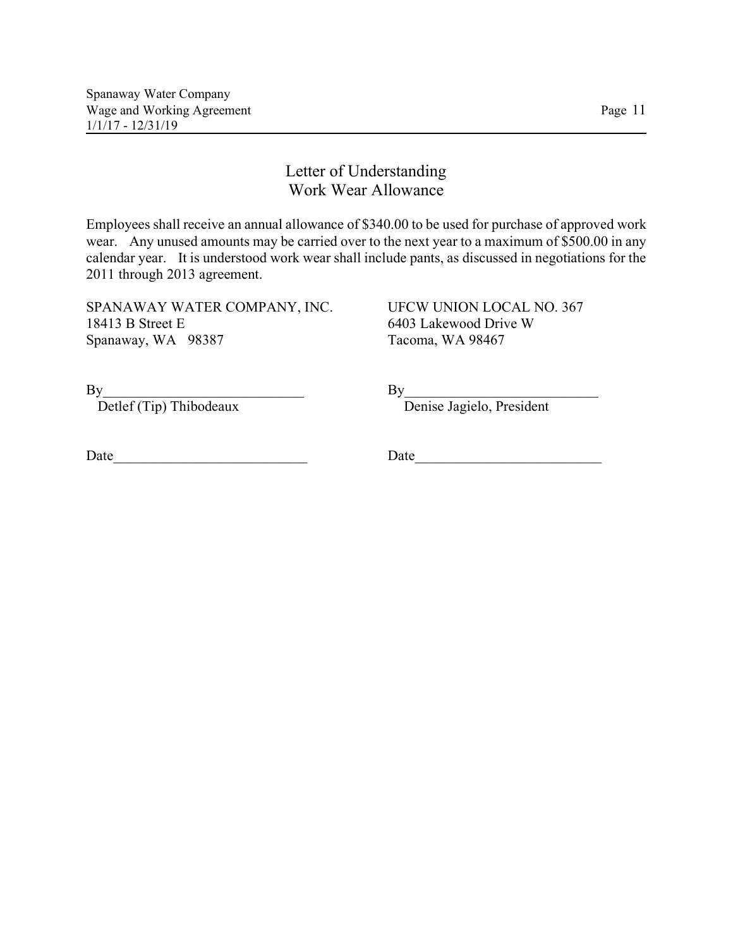# Letter of Understanding Work Wear Allowance

Employees shall receive an annual allowance of \$340.00 to be used for purchase of approved work wear. Any unused amounts may be carried over to the next year to a maximum of \$500.00 in any calendar year. It is understood work wear shall include pants, as discussed in negotiations for the 2011 through 2013 agreement.

SPANAWAY WATER COMPANY, INC. UFCW UNION LOCAL NO. 367 18413 B Street E 6403 Lakewood Drive W Spanaway, WA 98387 Tacoma, WA 98467

 $\mathrm{By}$ 

Detlef (Tip) Thibodeaux Denise Jagielo, President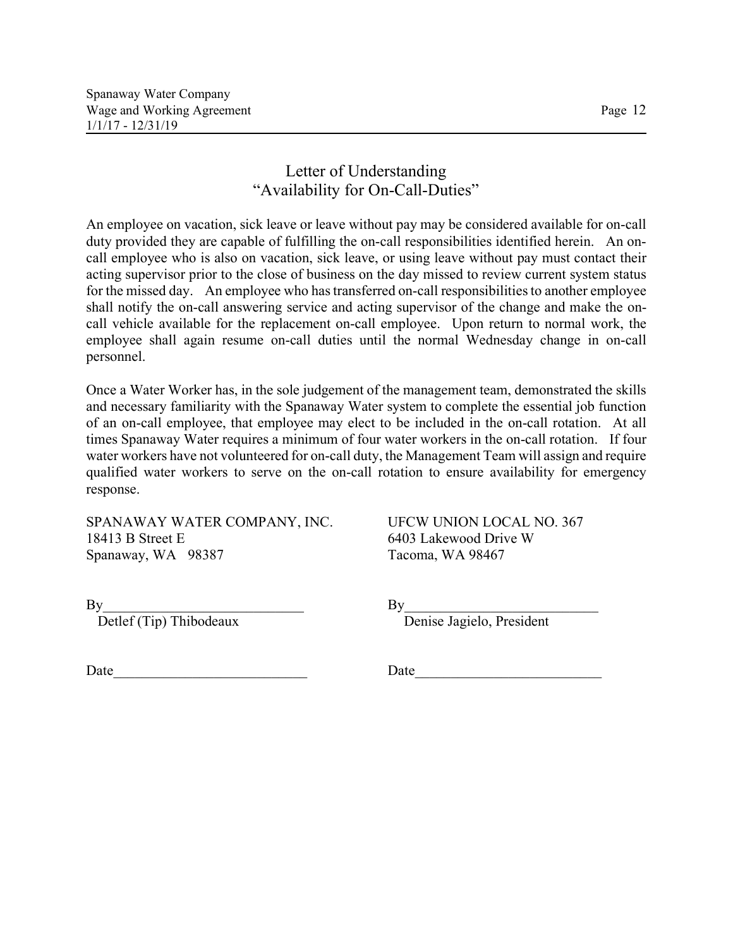# Letter of Understanding "Availability for On-Call-Duties"

An employee on vacation, sick leave or leave without pay may be considered available for on-call duty provided they are capable of fulfilling the on-call responsibilities identified herein. An oncall employee who is also on vacation, sick leave, or using leave without pay must contact their acting supervisor prior to the close of business on the day missed to review current system status for the missed day. An employee who has transferred on-call responsibilities to another employee shall notify the on-call answering service and acting supervisor of the change and make the oncall vehicle available for the replacement on-call employee. Upon return to normal work, the employee shall again resume on-call duties until the normal Wednesday change in on-call personnel.

Once a Water Worker has, in the sole judgement of the management team, demonstrated the skills and necessary familiarity with the Spanaway Water system to complete the essential job function of an on-call employee, that employee may elect to be included in the on-call rotation. At all times Spanaway Water requires a minimum of four water workers in the on-call rotation. If four water workers have not volunteered for on-call duty, the Management Team will assign and require qualified water workers to serve on the on-call rotation to ensure availability for emergency response.

SPANAWAY WATER COMPANY, INC. UFCW UNION LOCAL NO. 367 18413 B Street E 6403 Lakewood Drive W Spanaway, WA 98387 Tacoma, WA 98467

 $\mathrm{By}$ 

Detlef (Tip) Thibodeaux Denise Jagielo, President

Date **Date**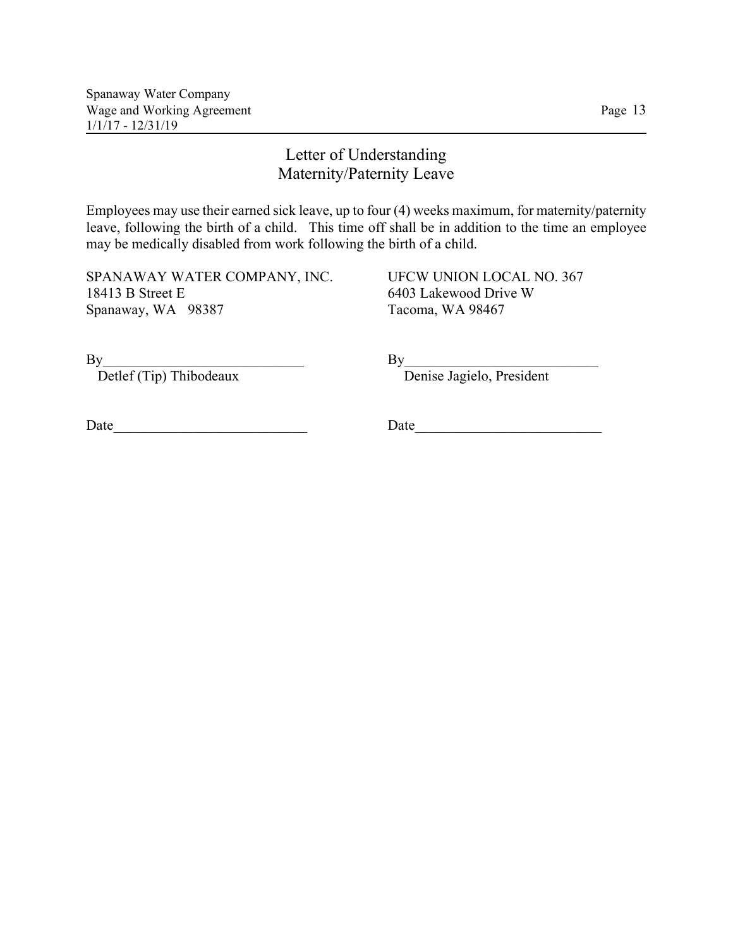# Letter of Understanding Maternity/Paternity Leave

Employees may use their earned sick leave, up to four (4) weeks maximum, for maternity/paternity leave, following the birth of a child. This time off shall be in addition to the time an employee may be medically disabled from work following the birth of a child.

SPANAWAY WATER COMPANY, INC. UFCW UNION LOCAL NO. 367 18413 B Street E 6403 Lakewood Drive W Spanaway, WA 98387 Tacoma, WA 98467

Detlef (Tip) Thibodeaux Denise Jagielo, President

 $\mathrm{By}$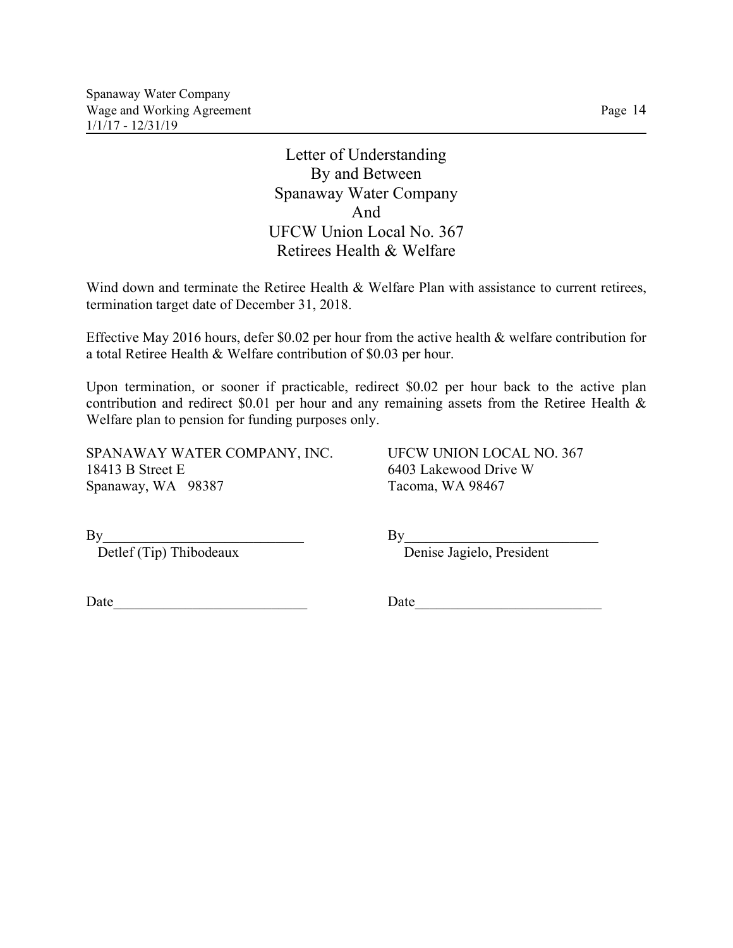Spanaway Water Company Wage and Working Agreement Page 14 1/1/17 - 12/31/19

> Letter of Understanding By and Between Spanaway Water Company And UFCW Union Local No. 367 Retirees Health & Welfare

Wind down and terminate the Retiree Health & Welfare Plan with assistance to current retirees, termination target date of December 31, 2018.

Effective May 2016 hours, defer \$0.02 per hour from the active health & welfare contribution for a total Retiree Health & Welfare contribution of \$0.03 per hour.

Upon termination, or sooner if practicable, redirect \$0.02 per hour back to the active plan contribution and redirect \$0.01 per hour and any remaining assets from the Retiree Health & Welfare plan to pension for funding purposes only.

SPANAWAY WATER COMPANY, INC. UFCW UNION LOCAL NO. 367 18413 B Street E 6403 Lakewood Drive W Spanaway, WA 98387 Tacoma, WA 98467

By<br>Detlef (Tip) Thibodeaux<br>Denise Jagielo, President By<br>Detlef (Tip) Thibodeaux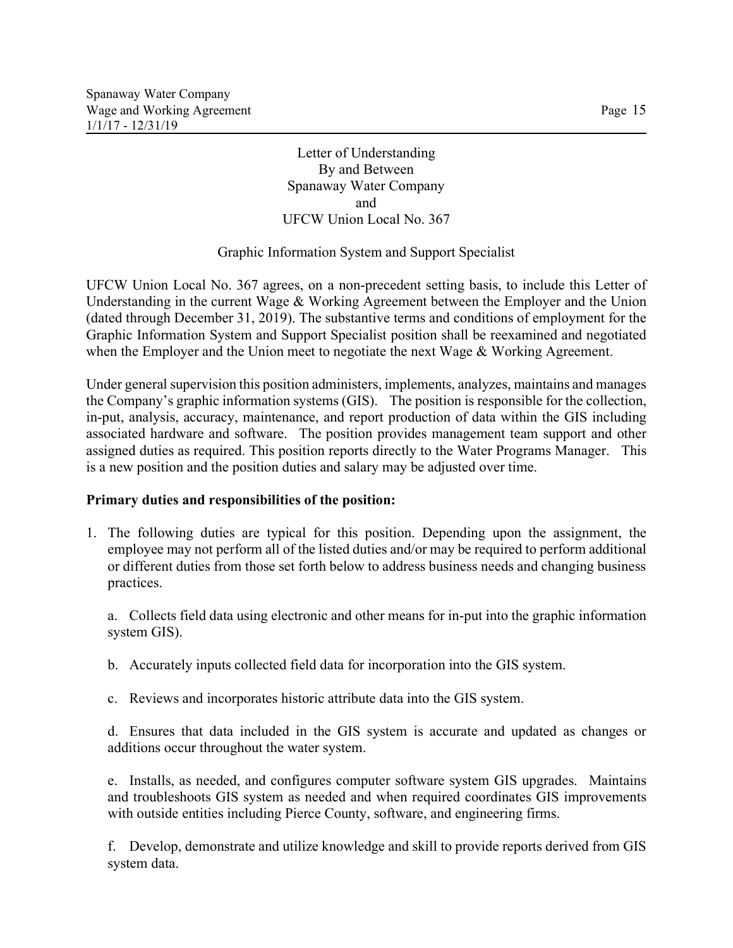Letter of Understanding By and Between Spanaway Water Company and UFCW Union Local No. 367

#### Graphic Information System and Support Specialist

UFCW Union Local No. 367 agrees, on a non-precedent setting basis, to include this Letter of Understanding in the current Wage & Working Agreement between the Employer and the Union (dated through December 31, 2019). The substantive terms and conditions of employment for the Graphic Information System and Support Specialist position shall be reexamined and negotiated when the Employer and the Union meet to negotiate the next Wage & Working Agreement.

Under general supervision this position administers, implements, analyzes, maintains and manages the Company's graphic information systems (GIS). The position is responsible for the collection, in-put, analysis, accuracy, maintenance, and report production of data within the GIS including associated hardware and software. The position provides management team support and other assigned duties as required. This position reports directly to the Water Programs Manager. This is a new position and the position duties and salary may be adjusted over time.

#### **Primary duties and responsibilities of the position:**

1. The following duties are typical for this position. Depending upon the assignment, the employee may not perform all of the listed duties and/or may be required to perform additional or different duties from those set forth below to address business needs and changing business practices.

a. Collects field data using electronic and other means for in-put into the graphic information system GIS).

- b. Accurately inputs collected field data for incorporation into the GIS system.
- c. Reviews and incorporates historic attribute data into the GIS system.

d. Ensures that data included in the GIS system is accurate and updated as changes or additions occur throughout the water system.

e. Installs, as needed, and configures computer software system GIS upgrades. Maintains and troubleshoots GIS system as needed and when required coordinates GIS improvements with outside entities including Pierce County, software, and engineering firms.

f. Develop, demonstrate and utilize knowledge and skill to provide reports derived from GIS system data.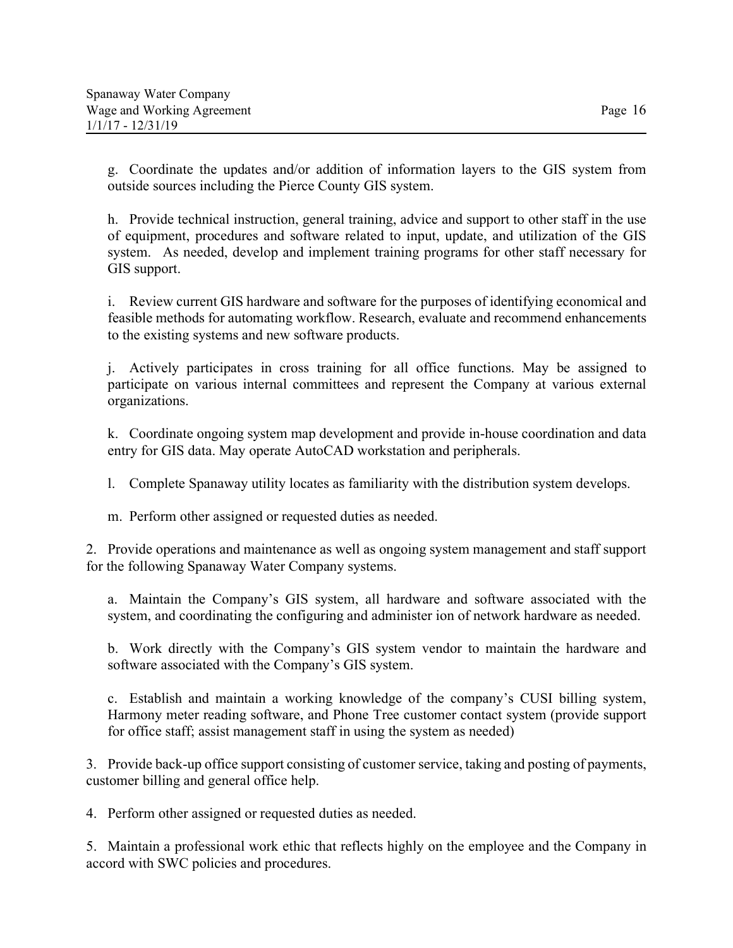g. Coordinate the updates and/or addition of information layers to the GIS system from outside sources including the Pierce County GIS system.

h. Provide technical instruction, general training, advice and support to other staff in the use of equipment, procedures and software related to input, update, and utilization of the GIS system. As needed, develop and implement training programs for other staff necessary for GIS support.

i. Review current GIS hardware and software for the purposes of identifying economical and feasible methods for automating workflow. Research, evaluate and recommend enhancements to the existing systems and new software products.

j. Actively participates in cross training for all office functions. May be assigned to participate on various internal committees and represent the Company at various external organizations.

k. Coordinate ongoing system map development and provide in-house coordination and data entry for GIS data. May operate AutoCAD workstation and peripherals.

l. Complete Spanaway utility locates as familiarity with the distribution system develops.

m. Perform other assigned or requested duties as needed.

2. Provide operations and maintenance as well as ongoing system management and staff support for the following Spanaway Water Company systems.

a. Maintain the Company's GIS system, all hardware and software associated with the system, and coordinating the configuring and administer ion of network hardware as needed.

b. Work directly with the Company's GIS system vendor to maintain the hardware and software associated with the Company's GIS system.

c. Establish and maintain a working knowledge of the company's CUSI billing system, Harmony meter reading software, and Phone Tree customer contact system (provide support for office staff; assist management staff in using the system as needed)

3. Provide back-up office support consisting of customer service, taking and posting of payments, customer billing and general office help.

4. Perform other assigned or requested duties as needed.

5. Maintain a professional work ethic that reflects highly on the employee and the Company in accord with SWC policies and procedures.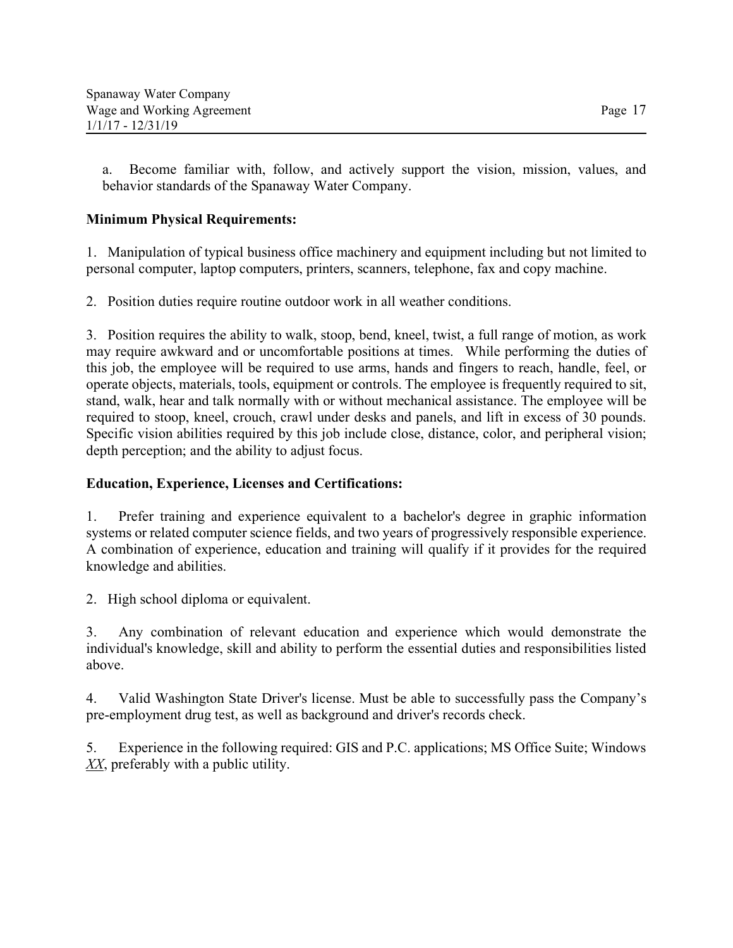a. Become familiar with, follow, and actively support the vision, mission, values, and behavior standards of the Spanaway Water Company.

# **Minimum Physical Requirements:**

1. Manipulation of typical business office machinery and equipment including but not limited to personal computer, laptop computers, printers, scanners, telephone, fax and copy machine.

2. Position duties require routine outdoor work in all weather conditions.

3. Position requires the ability to walk, stoop, bend, kneel, twist, a full range of motion, as work may require awkward and or uncomfortable positions at times. While performing the duties of this job, the employee will be required to use arms, hands and fingers to reach, handle, feel, or operate objects, materials, tools, equipment or controls. The employee is frequently required to sit, stand, walk, hear and talk normally with or without mechanical assistance. The employee will be required to stoop, kneel, crouch, crawl under desks and panels, and lift in excess of 30 pounds. Specific vision abilities required by this job include close, distance, color, and peripheral vision; depth perception; and the ability to adjust focus.

## **Education, Experience, Licenses and Certifications:**

1. Prefer training and experience equivalent to a bachelor's degree in graphic information systems or related computer science fields, and two years of progressively responsible experience. A combination of experience, education and training will qualify if it provides for the required knowledge and abilities.

2. High school diploma or equivalent.

3. Any combination of relevant education and experience which would demonstrate the individual's knowledge, skill and ability to perform the essential duties and responsibilities listed above.

4. Valid Washington State Driver's license. Must be able to successfully pass the Company's pre-employment drug test, as well as background and driver's records check.

5. Experience in the following required: GIS and P.C. applications; MS Office Suite; Windows *XX*, preferably with a public utility.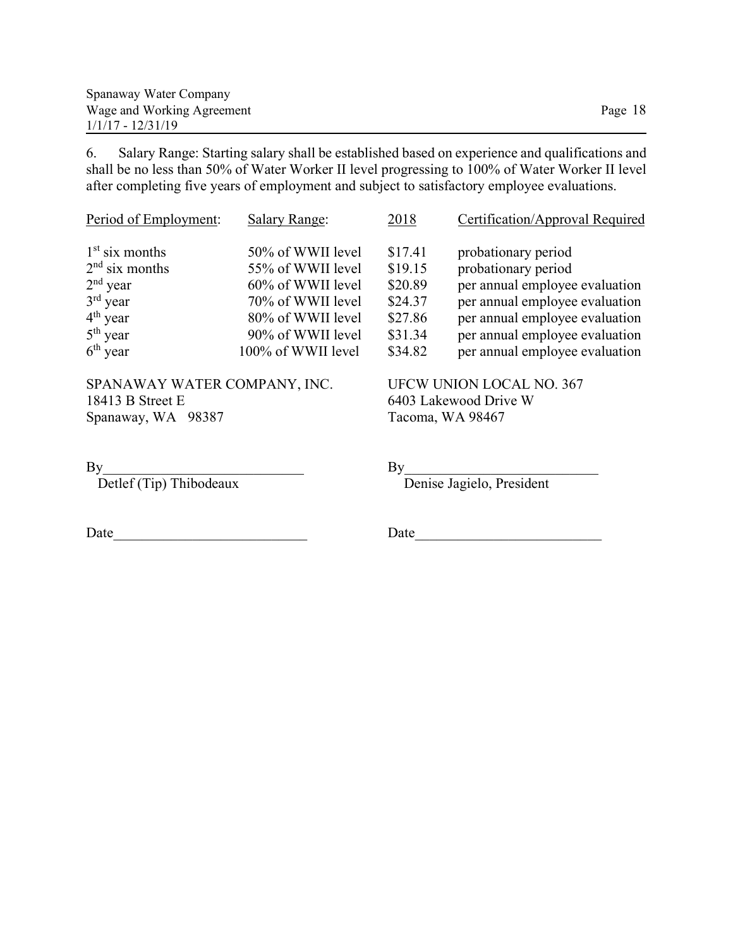| Spanaway Water Company     |         |
|----------------------------|---------|
| Wage and Working Agreement | Page 18 |
| $1/1/17 - 12/31/19$        |         |

6. Salary Range: Starting salary shall be established based on experience and qualifications and shall be no less than 50% of Water Worker II level progressing to 100% of Water Worker II level after completing five years of employment and subject to satisfactory employee evaluations.

| Period of Employment: | <b>Salary Range:</b> | 2018    | Certification/Approval Required |
|-----------------------|----------------------|---------|---------------------------------|
| $1st$ six months      | 50% of WWII level    | \$17.41 | probationary period             |
| $2nd$ six months      | 55% of WWII level    | \$19.15 | probationary period             |
| $2nd$ year            | 60% of WWII level    | \$20.89 | per annual employee evaluation  |
| $3rd$ year            | 70% of WWII level    | \$24.37 | per annual employee evaluation  |
| $4th$ year            | 80% of WWII level    | \$27.86 | per annual employee evaluation  |
| $5th$ year            | 90% of WWII level    | \$31.34 | per annual employee evaluation  |
| $6th$ year            | 100% of WWII level   | \$34.82 | per annual employee evaluation  |

SPANAWAY WATER COMPANY, INC. UFCW UNION LOCAL NO. 367 18413 B Street E<br>
Spanaway, WA 98387 Tacoma, WA 98467 Spanaway, WA 98387

By<br>Denise Jagielo, President Detlef (Tip) Thibodeaux Denise Jagielo, President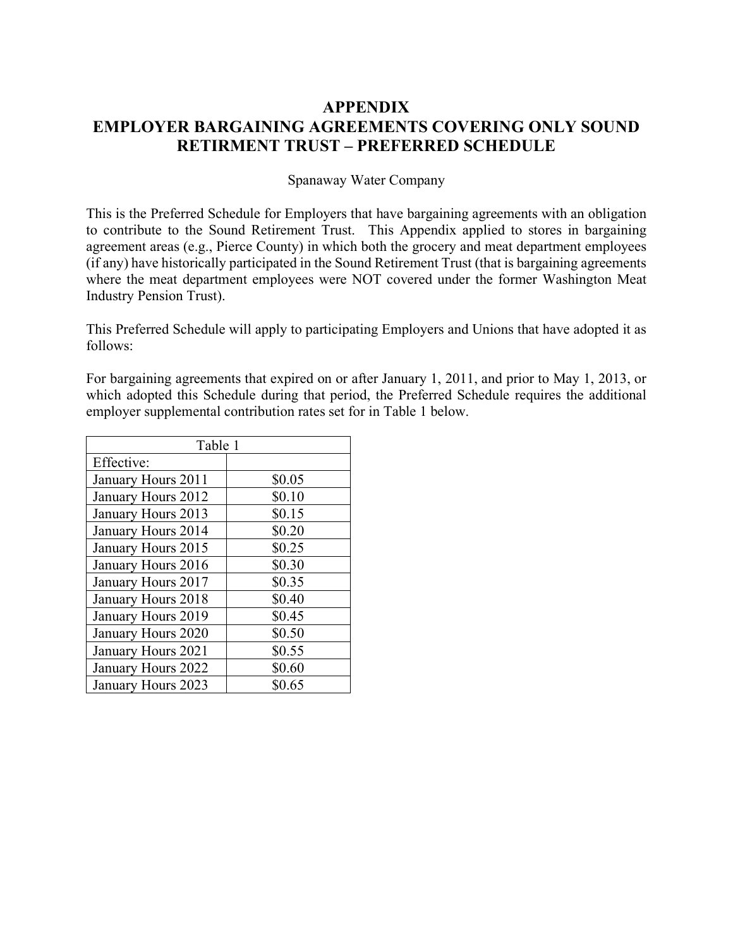# **APPENDIX EMPLOYER BARGAINING AGREEMENTS COVERING ONLY SOUND RETIRMENT TRUST – PREFERRED SCHEDULE**

### Spanaway Water Company

This is the Preferred Schedule for Employers that have bargaining agreements with an obligation to contribute to the Sound Retirement Trust. This Appendix applied to stores in bargaining agreement areas (e.g., Pierce County) in which both the grocery and meat department employees (if any) have historically participated in the Sound Retirement Trust (that is bargaining agreements where the meat department employees were NOT covered under the former Washington Meat Industry Pension Trust).

This Preferred Schedule will apply to participating Employers and Unions that have adopted it as follows:

For bargaining agreements that expired on or after January 1, 2011, and prior to May 1, 2013, or which adopted this Schedule during that period, the Preferred Schedule requires the additional employer supplemental contribution rates set for in Table 1 below.

| Table 1            |        |  |
|--------------------|--------|--|
| Effective:         |        |  |
| January Hours 2011 | \$0.05 |  |
| January Hours 2012 | \$0.10 |  |
| January Hours 2013 | \$0.15 |  |
| January Hours 2014 | \$0.20 |  |
| January Hours 2015 | \$0.25 |  |
| January Hours 2016 | \$0.30 |  |
| January Hours 2017 | \$0.35 |  |
| January Hours 2018 | \$0.40 |  |
| January Hours 2019 | \$0.45 |  |
| January Hours 2020 | \$0.50 |  |
| January Hours 2021 | \$0.55 |  |
| January Hours 2022 | \$0.60 |  |
| January Hours 2023 | \$0.65 |  |